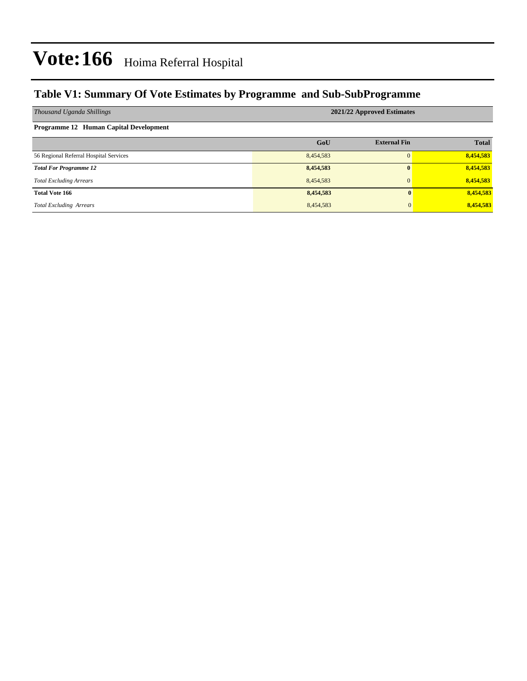### **Table V1: Summary Of Vote Estimates by Programme and Sub-SubProgramme**

| Thousand Uganda Shillings              | 2021/22 Approved Estimates |                     |              |  |  |  |
|----------------------------------------|----------------------------|---------------------|--------------|--|--|--|
| Programme 12 Human Capital Development |                            |                     |              |  |  |  |
|                                        | GoU                        | <b>External Fin</b> | <b>Total</b> |  |  |  |
| 56 Regional Referral Hospital Services | 8,454,583                  |                     | 8,454,583    |  |  |  |
| <b>Total For Programme 12</b>          | 8,454,583                  | $\mathbf{0}$        | 8,454,583    |  |  |  |
| <b>Total Excluding Arrears</b>         | 8,454,583                  | $\mathbf{0}$        | 8,454,583    |  |  |  |
| <b>Total Vote 166</b>                  | 8,454,583                  | $\mathbf{0}$        | 8,454,583    |  |  |  |
| <b>Total Excluding Arrears</b>         | 8,454,583                  | 0                   | 8,454,583    |  |  |  |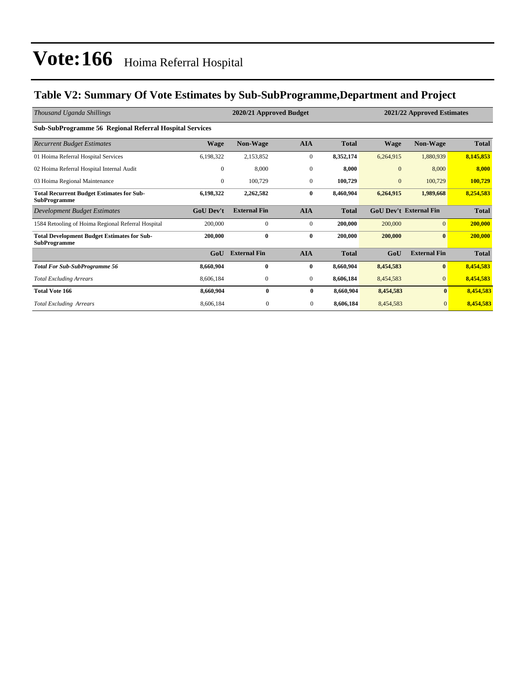### **Table V2: Summary Of Vote Estimates by Sub-SubProgramme,Department and Project**

| Thousand Uganda Shillings                                                 | 2020/21 Approved Budget<br>2021/22 Approved Estimates |                     |                  |              |              |                               |              |
|---------------------------------------------------------------------------|-------------------------------------------------------|---------------------|------------------|--------------|--------------|-------------------------------|--------------|
| <b>Sub-SubProgramme 56 Regional Referral Hospital Services</b>            |                                                       |                     |                  |              |              |                               |              |
| <b>Recurrent Budget Estimates</b>                                         | <b>Wage</b>                                           | Non-Wage            | <b>AIA</b>       | <b>Total</b> | <b>Wage</b>  | <b>Non-Wage</b>               | <b>Total</b> |
| 01 Hoima Referral Hospital Services                                       | 6,198,322                                             | 2,153,852           | $\mathbf{0}$     | 8,352,174    | 6,264,915    | 1,880,939                     | 8,145,853    |
| 02 Hoima Referral Hospital Internal Audit                                 | $\Omega$                                              | 8,000               | $\mathbf{0}$     | 8.000        | $\mathbf{0}$ | 8,000                         | 8,000        |
| 03 Hoima Regional Maintenance                                             | $\mathbf{0}$                                          | 100,729             | $\mathbf{0}$     | 100,729      | $\mathbf{0}$ | 100,729                       | 100,729      |
| <b>Total Recurrent Budget Estimates for Sub-</b><br><b>SubProgramme</b>   | 6,198,322                                             | 2,262,582           | $\bf{0}$         | 8,460,904    | 6,264,915    | 1,989,668                     | 8,254,583    |
| <b>Development Budget Estimates</b>                                       | <b>GoU</b> Dev't                                      | <b>External Fin</b> | <b>AIA</b>       | <b>Total</b> |              | <b>GoU Dev't External Fin</b> | <b>Total</b> |
| 1584 Retooling of Hoima Regional Referral Hospital                        | 200,000                                               | $\mathbf{0}$        | $\boldsymbol{0}$ | 200,000      | 200,000      | $\overline{0}$                | 200,000      |
| <b>Total Development Budget Estimates for Sub-</b><br><b>SubProgramme</b> | 200,000                                               | $\bf{0}$            | $\bf{0}$         | 200,000      | 200,000      | $\bf{0}$                      | 200,000      |
|                                                                           | GoU                                                   | <b>External Fin</b> | <b>AIA</b>       | <b>Total</b> | GoU          | <b>External Fin</b>           | <b>Total</b> |
| <b>Total For Sub-SubProgramme 56</b>                                      | 8,660,904                                             | $\bf{0}$            | $\bf{0}$         | 8,660,904    | 8,454,583    | $\mathbf{0}$                  | 8,454,583    |
| <b>Total Excluding Arrears</b>                                            | 8,606,184                                             | $\mathbf{0}$        | $\mathbf{0}$     | 8,606,184    | 8,454,583    | $\overline{0}$                | 8,454,583    |
| <b>Total Vote 166</b>                                                     | 8,660,904                                             | $\bf{0}$            | $\bf{0}$         | 8,660,904    | 8,454,583    | $\mathbf{0}$                  | 8,454,583    |
| <b>Total Excluding Arrears</b>                                            | 8,606,184                                             | $\mathbf{0}$        | $\mathbf{0}$     | 8,606,184    | 8,454,583    | $\mathbf{0}$                  | 8,454,583    |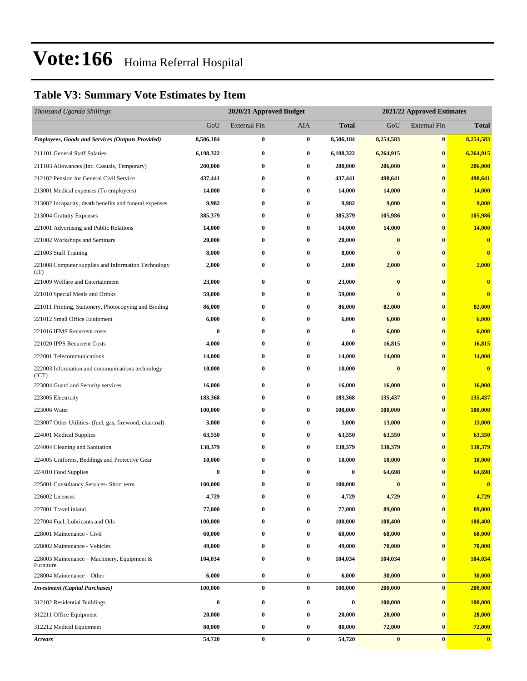### **Table V3: Summary Vote Estimates by Item**

| Thousand Uganda Shillings                                   |             |                     | 2020/21 Approved Budget<br>2021/22 Approved Estimates |                  |                  |                     |                         |
|-------------------------------------------------------------|-------------|---------------------|-------------------------------------------------------|------------------|------------------|---------------------|-------------------------|
|                                                             | GoU         | <b>External Fin</b> | AIA                                                   | <b>Total</b>     | GoU              | <b>External Fin</b> | <b>Total</b>            |
| <b>Employees, Goods and Services (Outputs Provided)</b>     | 8,506,184   | $\bf{0}$            | $\bf{0}$                                              | 8,506,184        | 8,254,583        | $\bf{0}$            | 8,254,583               |
| 211101 General Staff Salaries                               | 6,198,322   | 0                   | $\bf{0}$                                              | 6,198,322        | 6,264,915        | $\bf{0}$            | 6,264,915               |
| 211103 Allowances (Inc. Casuals, Temporary)                 | 200,000     | 0                   | $\bf{0}$                                              | 200,000          | 206,000          | $\bf{0}$            | 206,000                 |
| 212102 Pension for General Civil Service                    | 437,441     | $\bf{0}$            | $\bf{0}$                                              | 437,441          | 498,641          | $\bf{0}$            | 498,641                 |
| 213001 Medical expenses (To employees)                      | 14,000      | 0                   | $\bf{0}$                                              | 14,000           | 14,000           | $\bf{0}$            | <b>14,000</b>           |
| 213002 Incapacity, death benefits and funeral expenses      | 9,982       | $\bf{0}$            | $\bf{0}$                                              | 9,982            | 9,000            | $\bf{0}$            | 9,000                   |
| 213004 Gratuity Expenses                                    | 385,379     | 0                   | $\bf{0}$                                              | 385,379          | 105,986          | $\bf{0}$            | 105,986                 |
| 221001 Advertising and Public Relations                     | 14,000      | 0                   | $\bf{0}$                                              | 14,000           | 14,000           | $\bf{0}$            | 14,000                  |
| 221002 Workshops and Seminars                               | 20,000      | $\bf{0}$            | $\bf{0}$                                              | 20,000           | $\bf{0}$         | $\bf{0}$            | $\bf{0}$                |
| 221003 Staff Training                                       | 8,000       | 0                   | $\bf{0}$                                              | 8,000            | $\bf{0}$         | $\bf{0}$            | $\bf{0}$                |
| 221008 Computer supplies and Information Technology<br>(TT) | 2,000       | $\bf{0}$            | $\bf{0}$                                              | 2,000            | 2,000            | $\bf{0}$            | 2,000                   |
| 221009 Welfare and Entertainment                            | 23,000      | $\bf{0}$            | $\bf{0}$                                              | 23,000           | $\bf{0}$         | $\bf{0}$            | $\bf{0}$                |
| 221010 Special Meals and Drinks                             | 59,000      | 0                   | $\bf{0}$                                              | 59,000           | $\bf{0}$         | $\bf{0}$            | $\overline{\mathbf{0}}$ |
| 221011 Printing, Stationery, Photocopying and Binding       | 86,000      | 0                   | $\bf{0}$                                              | 86,000           | 82,000           | $\bf{0}$            | 82,000                  |
| 221012 Small Office Equipment                               | 6,000       | $\bf{0}$            | $\bf{0}$                                              | 6,000            | 6,000            | $\bf{0}$            | 6,000                   |
| 221016 IFMS Recurrent costs                                 | $\bf{0}$    | 0                   | $\bf{0}$                                              | $\boldsymbol{0}$ | 6,000            | $\bf{0}$            | 6,000                   |
| 221020 IPPS Recurrent Costs                                 | 4,000       | 0                   | $\bf{0}$                                              | 4,000            | 16,815           | $\bf{0}$            | 16,815                  |
| 222001 Telecommunications                                   | 14,000      | 0                   | $\bf{0}$                                              | 14,000           | 14,000           | $\bf{0}$            | 14,000                  |
| 222003 Information and communications technology<br>(ICT)   | 10,000      | 0                   | $\bf{0}$                                              | 10,000           | $\bf{0}$         | $\bf{0}$            | $\bf{0}$                |
| 223004 Guard and Security services                          | 16,000      | 0                   | $\bf{0}$                                              | 16,000           | 16,000           | $\bf{0}$            | 16,000                  |
| 223005 Electricity                                          | 183,368     | $\bf{0}$            | $\bf{0}$                                              | 183,368          | 135,437          | $\bf{0}$            | 135,437                 |
| 223006 Water                                                | 100,000     | 0                   | $\bf{0}$                                              | 100,000          | 100,000          | $\bf{0}$            | 100,000                 |
| 223007 Other Utilities- (fuel, gas, firewood, charcoal)     | 3,000       | $\bf{0}$            | $\bf{0}$                                              | 3,000            | 13,000           | $\bf{0}$            | <b>13,000</b>           |
| 224001 Medical Supplies                                     | 63,550      | 0                   | $\bf{0}$                                              | 63,550           | 63,550           | $\bf{0}$            | 63,550                  |
| 224004 Cleaning and Sanitation                              | 138,379     | 0                   | $\bf{0}$                                              | 138,379          | 138,379          | $\bf{0}$            | 138,379                 |
| 224005 Uniforms, Beddings and Protective Gear               | 10,000      | $\bf{0}$            | $\bf{0}$                                              | 10,000           | 10,000           | $\bf{0}$            | 10,000                  |
| 224010 Food Supplies                                        | $\mathbf 0$ | $\bf{0}$            | $\mathbf{0}$                                          | 0                | 64,698           | $\mathbf{0}$        | 64,698                  |
| 225001 Consultancy Services- Short term                     | 100,000     | $\bf{0}$            | $\bf{0}$                                              | 100,000          | $\boldsymbol{0}$ | $\bf{0}$            | $\bf{0}$                |
| 226002 Licenses                                             | 4,729       | 0                   | $\bf{0}$                                              | 4,729            | 4,729            | $\bf{0}$            | 4,729                   |
| 227001 Travel inland                                        | 77,000      | 0                   | $\bf{0}$                                              | 77,000           | 89,000           | $\bf{0}$            | 89,000                  |
| 227004 Fuel, Lubricants and Oils                            | 100,000     | $\bf{0}$            | $\bf{0}$                                              | 100,000          | 108,400          | $\bf{0}$            | 108,400                 |
| 228001 Maintenance - Civil                                  | 60,000      | 0                   | $\bf{0}$                                              | 60,000           | 68,000           | $\bf{0}$            | 68,000                  |
| 228002 Maintenance - Vehicles                               | 49,000      | $\bf{0}$            | $\bf{0}$                                              | 49,000           | 70,000           | $\bf{0}$            | 70,000                  |
| 228003 Maintenance – Machinery, Equipment $\&$<br>Furniture | 104,034     | $\bf{0}$            | $\bf{0}$                                              | 104,034          | 104,034          | $\bf{0}$            | 104,034                 |
| 228004 Maintenance – Other                                  | 6,000       | $\bf{0}$            | $\bf{0}$                                              | 6,000            | 30,000           | $\bf{0}$            | 30,000                  |
| <b>Investment</b> (Capital Purchases)                       | 100,000     | $\bf{0}$            | $\bf{0}$                                              | 100,000          | 200,000          | $\bf{0}$            | 200,000                 |
| 312102 Residential Buildings                                | $\bf{0}$    | $\bf{0}$            | $\bf{0}$                                              | $\boldsymbol{0}$ | 100,000          | $\bf{0}$            | 100,000                 |
| 312211 Office Equipment                                     | 20,000      | $\bf{0}$            | $\bf{0}$                                              | 20,000           | 28,000           | $\bf{0}$            | 28,000                  |
| 312212 Medical Equipment                                    | 80,000      | $\bf{0}$            | $\bf{0}$                                              | 80,000           | 72,000           | $\bf{0}$            | 72,000                  |
| <b>Arrears</b>                                              | 54,720      | $\bf{0}$            | $\bf{0}$                                              | 54,720           | $\bf{0}$         | $\bf{0}$            | $\bf{0}$                |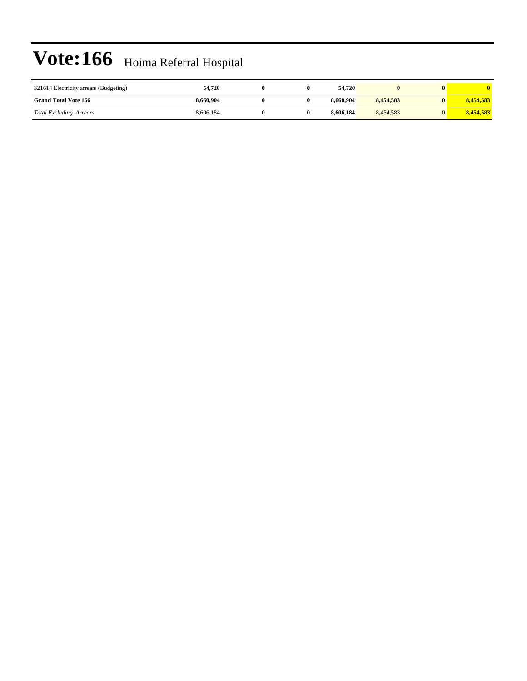| 321614 Electricity arrears (Budgeting) | 54,720    |  | 54,720    |           |           |
|----------------------------------------|-----------|--|-----------|-----------|-----------|
| <b>Grand Total Vote 166</b>            | 8.660.904 |  | 8,660,904 | 8.454.583 | 8.454.583 |
| <b>Total Excluding Arrears</b>         | 8.606.184 |  | 8.606.184 | 8.454.583 | 8.454.583 |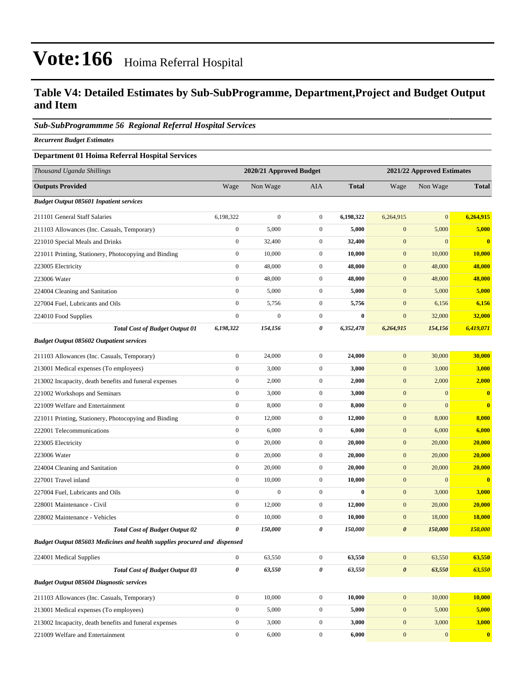#### **Table V4: Detailed Estimates by Sub-SubProgramme, Department,Project and Budget Output and Item**

#### *Sub-SubProgrammme 56 Regional Referral Hospital Services*

*Recurrent Budget Estimates*

#### **Department 01 Hoima Referral Hospital Services**

| Thousand Uganda Shillings                                                 |                  | 2020/21 Approved Budget |                  | 2021/22 Approved Estimates |                       |              |                  |
|---------------------------------------------------------------------------|------------------|-------------------------|------------------|----------------------------|-----------------------|--------------|------------------|
| <b>Outputs Provided</b>                                                   | Wage             | Non Wage                | <b>AIA</b>       | <b>Total</b>               | Wage                  | Non Wage     | <b>Total</b>     |
| <b>Budget Output 085601 Inpatient services</b>                            |                  |                         |                  |                            |                       |              |                  |
| 211101 General Staff Salaries                                             | 6,198,322        | $\boldsymbol{0}$        | $\overline{0}$   | 6,198,322                  | 6,264,915             | $\mathbf{0}$ | 6,264,915        |
| 211103 Allowances (Inc. Casuals, Temporary)                               | $\mathbf{0}$     | 5,000                   | $\mathbf{0}$     | 5,000                      | $\mathbf{0}$          | 5,000        | 5,000            |
| 221010 Special Meals and Drinks                                           | $\boldsymbol{0}$ | 32,400                  | $\mathbf{0}$     | 32,400                     | $\mathbf{0}$          | $\mathbf{0}$ | $\bf{0}$         |
| 221011 Printing, Stationery, Photocopying and Binding                     | $\boldsymbol{0}$ | 10,000                  | $\mathbf{0}$     | 10,000                     | $\mathbf{0}$          | 10,000       | 10,000           |
| 223005 Electricity                                                        | $\boldsymbol{0}$ | 48,000                  | $\mathbf{0}$     | 48,000                     | $\mathbf{0}$          | 48,000       | 48,000           |
| 223006 Water                                                              | $\boldsymbol{0}$ | 48,000                  | $\overline{0}$   | 48,000                     | $\mathbf{0}$          | 48,000       | 48,000           |
| 224004 Cleaning and Sanitation                                            | $\mathbf{0}$     | 5,000                   | $\mathbf{0}$     | 5,000                      | $\mathbf{0}$          | 5,000        | 5,000            |
| 227004 Fuel, Lubricants and Oils                                          | $\boldsymbol{0}$ | 5,756                   | $\mathbf{0}$     | 5,756                      | $\mathbf{0}$          | 6,156        | 6,156            |
| 224010 Food Supplies                                                      | $\boldsymbol{0}$ | $\boldsymbol{0}$        | $\overline{0}$   | $\bf{0}$                   | $\boldsymbol{0}$      | 32,000       | 32,000           |
| <b>Total Cost of Budget Output 01</b>                                     | 6,198,322        | 154,156                 | 0                | 6,352,478                  | 6,264,915             | 154,156      | 6,419,071        |
| <b>Budget Output 085602 Outpatient services</b>                           |                  |                         |                  |                            |                       |              |                  |
| 211103 Allowances (Inc. Casuals, Temporary)                               | $\boldsymbol{0}$ | 24,000                  | $\mathbf{0}$     | 24,000                     | $\mathbf{0}$          | 30,000       | 30,000           |
| 213001 Medical expenses (To employees)                                    | $\boldsymbol{0}$ | 3,000                   | $\overline{0}$   | 3,000                      | $\mathbf{0}$          | 3,000        | 3,000            |
| 213002 Incapacity, death benefits and funeral expenses                    | $\boldsymbol{0}$ | 2,000                   | $\mathbf{0}$     | 2,000                      | $\mathbf{0}$          | 2,000        | 2,000            |
| 221002 Workshops and Seminars                                             | $\boldsymbol{0}$ | 3,000                   | $\overline{0}$   | 3,000                      | $\mathbf{0}$          | $\mathbf{0}$ | $\bf{0}$         |
| 221009 Welfare and Entertainment                                          | $\boldsymbol{0}$ | 8,000                   | $\mathbf{0}$     | 8,000                      | $\mathbf{0}$          | $\mathbf{0}$ | $\bf{0}$         |
| 221011 Printing, Stationery, Photocopying and Binding                     | $\boldsymbol{0}$ | 12,000                  | $\mathbf{0}$     | 12,000                     | $\mathbf{0}$          | 8,000        | 8,000            |
| 222001 Telecommunications                                                 | $\boldsymbol{0}$ | 6,000                   | $\overline{0}$   | 6,000                      | $\mathbf{0}$          | 6,000        | 6,000            |
| 223005 Electricity                                                        | $\boldsymbol{0}$ | 20,000                  | $\mathbf{0}$     | 20,000                     | $\mathbf{0}$          | 20,000       | 20,000           |
| 223006 Water                                                              | $\boldsymbol{0}$ | 20,000                  | $\overline{0}$   | 20,000                     | $\mathbf{0}$          | 20,000       | 20,000           |
| 224004 Cleaning and Sanitation                                            | $\boldsymbol{0}$ | 20,000                  | $\mathbf{0}$     | 20,000                     | $\mathbf{0}$          | 20,000       | 20,000           |
| 227001 Travel inland                                                      | $\boldsymbol{0}$ | 10,000                  | $\mathbf{0}$     | 10,000                     | $\mathbf{0}$          | $\mathbf{0}$ | $\bf{0}$         |
| 227004 Fuel, Lubricants and Oils                                          | $\boldsymbol{0}$ | $\boldsymbol{0}$        | $\overline{0}$   | $\bf{0}$                   | $\mathbf{0}$          | 3,000        | 3,000            |
| 228001 Maintenance - Civil                                                | $\boldsymbol{0}$ | 12,000                  | $\mathbf{0}$     | 12,000                     | $\mathbf{0}$          | 20,000       | 20,000           |
| 228002 Maintenance - Vehicles                                             | $\boldsymbol{0}$ | 10,000                  | $\overline{0}$   | 10,000                     | $\mathbf{0}$          | 18,000       | <b>18,000</b>    |
| <b>Total Cost of Budget Output 02</b>                                     | 0                | 150,000                 | 0                | 150,000                    | $\boldsymbol{\theta}$ | 150,000      | 150,000          |
| Budget Output 085603 Medicines and health supplies procured and dispensed |                  |                         |                  |                            |                       |              |                  |
| 224001 Medical Supplies                                                   | $\boldsymbol{0}$ | 63,550                  | $\overline{0}$   | 63,550                     | $\boldsymbol{0}$      | 63,550       | 63,550           |
| <b>Total Cost of Budget Output 03</b>                                     | $\pmb{\theta}$   | 63,550                  | 0                | 63,550                     | $\boldsymbol{\theta}$ | 63,550       | 63,550           |
| <b>Budget Output 085604 Diagnostic services</b>                           |                  |                         |                  |                            |                       |              |                  |
| 211103 Allowances (Inc. Casuals, Temporary)                               | $\boldsymbol{0}$ | 10,000                  | $\overline{0}$   | 10,000                     | $\boldsymbol{0}$      | 10,000       | 10,000           |
| 213001 Medical expenses (To employees)                                    | $\boldsymbol{0}$ | 5,000                   | $\boldsymbol{0}$ | 5,000                      | $\boldsymbol{0}$      | 5,000        | 5,000            |
| 213002 Incapacity, death benefits and funeral expenses                    | $\boldsymbol{0}$ | 3,000                   | $\boldsymbol{0}$ | 3,000                      | $\mathbf{0}$          | 3,000        | 3,000            |
| 221009 Welfare and Entertainment                                          | $\boldsymbol{0}$ | 6,000                   | $\boldsymbol{0}$ | 6,000                      | $\mathbf{0}$          | $\mathbf{0}$ | $\boldsymbol{0}$ |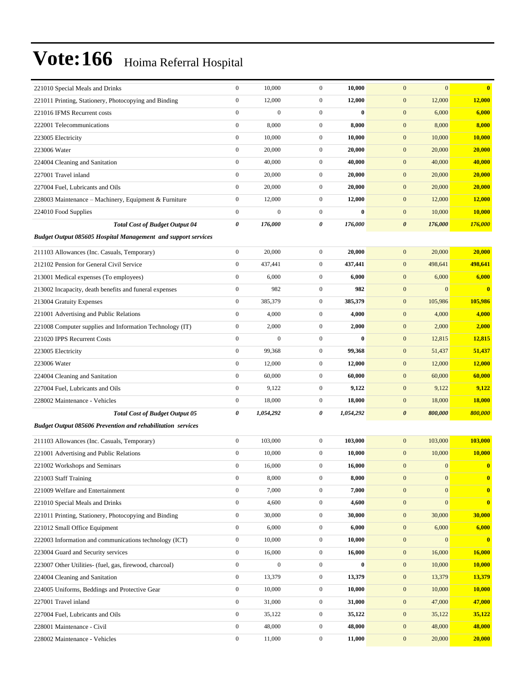| 221010 Special Meals and Drinks                                          | $\boldsymbol{0}$      | 10,000           | $\mathbf{0}$     | 10,000       | $\mathbf{0}$<br>$\mathbf{0}$         | $\bf{0}$         |
|--------------------------------------------------------------------------|-----------------------|------------------|------------------|--------------|--------------------------------------|------------------|
| 221011 Printing, Stationery, Photocopying and Binding                    | $\boldsymbol{0}$      | 12,000           | $\mathbf{0}$     | 12,000       | 12,000<br>$\bf{0}$                   | 12,000           |
| 221016 IFMS Recurrent costs                                              | $\mathbf{0}$          | $\boldsymbol{0}$ | $\overline{0}$   | $\bf{0}$     | $\mathbf{0}$<br>6,000                | 6,000            |
| 222001 Telecommunications                                                | $\boldsymbol{0}$      | 8,000            | $\overline{0}$   | 8,000        | $\mathbf{0}$<br>8,000                | 8,000            |
| 223005 Electricity                                                       | $\mathbf{0}$          | 10,000           | $\mathbf{0}$     | 10,000       | $\mathbf{0}$<br>10,000               | 10,000           |
| 223006 Water                                                             | $\boldsymbol{0}$      | 20,000           | $\mathbf{0}$     | 20,000       | $\mathbf{0}$<br>20,000               | 20,000           |
| 224004 Cleaning and Sanitation                                           | $\boldsymbol{0}$      | 40,000           | $\mathbf{0}$     | 40,000       | $\bf{0}$<br>40,000                   | 40,000           |
| 227001 Travel inland                                                     | $\boldsymbol{0}$      | 20,000           | $\mathbf{0}$     | 20,000       | $\mathbf{0}$<br>20,000               | 20,000           |
| 227004 Fuel, Lubricants and Oils                                         | $\boldsymbol{0}$      | 20,000           | $\mathbf{0}$     | 20,000       | $\mathbf{0}$<br>20,000               | 20,000           |
| 228003 Maintenance - Machinery, Equipment & Furniture                    | $\boldsymbol{0}$      | 12,000           | $\mathbf{0}$     | 12,000       | $\mathbf{0}$<br>12,000               | <b>12,000</b>    |
| 224010 Food Supplies                                                     | $\boldsymbol{0}$      | $\mathbf{0}$     | $\mathbf{0}$     | $\mathbf{0}$ | $\mathbf{0}$<br>10,000               | 10,000           |
| <b>Total Cost of Budget Output 04</b>                                    | $\boldsymbol{\theta}$ | 176,000          | 0                | 176,000      | $\boldsymbol{\theta}$<br>176,000     | 176,000          |
| <b>Budget Output 085605 Hospital Management and support services</b>     |                       |                  |                  |              |                                      |                  |
| 211103 Allowances (Inc. Casuals, Temporary)                              | $\boldsymbol{0}$      | 20,000           | $\mathbf{0}$     | 20,000       | $\mathbf{0}$<br>20,000               | 20,000           |
| 212102 Pension for General Civil Service                                 | $\boldsymbol{0}$      | 437,441          | $\mathbf{0}$     | 437,441      | $\mathbf{0}$<br>498,641              | 498,641          |
| 213001 Medical expenses (To employees)                                   | $\boldsymbol{0}$      | 6,000            | $\mathbf{0}$     | 6,000        | $\mathbf{0}$<br>6,000                | 6,000            |
| 213002 Incapacity, death benefits and funeral expenses                   | $\boldsymbol{0}$      | 982              | $\mathbf{0}$     | 982          | $\mathbf{0}$<br>$\mathbf{0}$         | $\bf{0}$         |
| 213004 Gratuity Expenses                                                 | $\boldsymbol{0}$      | 385,379          | $\mathbf{0}$     | 385,379      | $\mathbf{0}$<br>105,986              | 105,986          |
| 221001 Advertising and Public Relations                                  | $\mathbf{0}$          | 4,000            | $\mathbf{0}$     | 4,000        | $\mathbf{0}$<br>4,000                | 4,000            |
| 221008 Computer supplies and Information Technology (IT)                 | $\boldsymbol{0}$      | 2,000            | $\mathbf{0}$     | 2,000        | $\mathbf{0}$<br>2,000                | 2,000            |
| 221020 IPPS Recurrent Costs                                              | $\boldsymbol{0}$      | $\boldsymbol{0}$ | $\overline{0}$   | $\bf{0}$     | $\mathbf{0}$<br>12,815               | 12,815           |
| 223005 Electricity                                                       | $\boldsymbol{0}$      | 99,368           | $\mathbf{0}$     | 99,368       | $\mathbf{0}$<br>51,437               | 51,437           |
| 223006 Water                                                             | $\mathbf{0}$          | 12,000           | $\mathbf{0}$     | 12,000       | $\mathbf{0}$<br>12,000               | <b>12,000</b>    |
| 224004 Cleaning and Sanitation                                           | $\mathbf{0}$          | 60,000           | $\mathbf{0}$     | 60,000       | $\mathbf{0}$<br>60,000               | 60,000           |
| 227004 Fuel, Lubricants and Oils                                         | $\boldsymbol{0}$      | 9,122            | $\mathbf{0}$     | 9,122        | 9,122<br>$\mathbf{0}$                | 9,122            |
| 228002 Maintenance - Vehicles                                            | $\boldsymbol{0}$      | 18,000           | $\boldsymbol{0}$ | 18,000       | $\mathbf{0}$<br>18,000               | <b>18,000</b>    |
| <b>Total Cost of Budget Output 05</b>                                    | 0                     | 1,054,292        | 0                | 1,054,292    | $\boldsymbol{\theta}$<br>800,000     | 800,000          |
| <b>Budget Output 085606 Prevention and rehabilitation services</b>       |                       |                  |                  |              |                                      |                  |
|                                                                          | $\boldsymbol{0}$      | 103,000          | $\overline{0}$   | 103,000      | $\mathbf{0}$<br>103,000              | 103,000          |
| 211103 Allowances (Inc. Casuals, Temporary)                              | $\boldsymbol{0}$      | 10,000           | $\mathbf{0}$     | 10,000       | $\mathbf{0}$<br>10,000               | 10,000           |
| 221001 Advertising and Public Relations<br>221002 Workshops and Seminars | $\boldsymbol{0}$      | 16,000           | $\boldsymbol{0}$ | 16,000       | $\mathbf{0}$<br>$\mathbf{0}$         |                  |
|                                                                          | $\boldsymbol{0}$      | 8,000            | $\boldsymbol{0}$ | 8,000        | $\boldsymbol{0}$<br>$\mathbf{0}$     | $\boldsymbol{0}$ |
| 221003 Staff Training<br>221009 Welfare and Entertainment                | $\boldsymbol{0}$      | 7,000            | $\overline{0}$   | 7,000        | $\boldsymbol{0}$<br>$\mathbf{0}$     | $\boldsymbol{0}$ |
| 221010 Special Meals and Drinks                                          | $\boldsymbol{0}$      | 4,600            | $\boldsymbol{0}$ | 4,600        | $\boldsymbol{0}$<br>$\boldsymbol{0}$ | $\bf{0}$         |
| 221011 Printing, Stationery, Photocopying and Binding                    | $\boldsymbol{0}$      | 30,000           | $\boldsymbol{0}$ | 30,000       | $\mathbf{0}$<br>30,000               | 30,000           |
| 221012 Small Office Equipment                                            | $\boldsymbol{0}$      | 6,000            | $\boldsymbol{0}$ | 6,000        | $\mathbf{0}$<br>6,000                | 6,000            |
| 222003 Information and communications technology (ICT)                   | $\boldsymbol{0}$      | 10,000           | $\boldsymbol{0}$ | 10,000       | $\boldsymbol{0}$<br>$\boldsymbol{0}$ | $\mathbf{0}$     |
| 223004 Guard and Security services                                       | $\boldsymbol{0}$      | 16,000           | $\boldsymbol{0}$ | 16,000       | $\mathbf{0}$<br>16,000               | 16,000           |
| 223007 Other Utilities- (fuel, gas, firewood, charcoal)                  | $\boldsymbol{0}$      | $\boldsymbol{0}$ | $\boldsymbol{0}$ | $\bf{0}$     | $\mathbf{0}$<br>10,000               | 10,000           |
| 224004 Cleaning and Sanitation                                           | $\boldsymbol{0}$      | 13,379           | $\boldsymbol{0}$ | 13,379       | $\mathbf{0}$<br>13,379               | 13,379           |
| 224005 Uniforms, Beddings and Protective Gear                            | $\boldsymbol{0}$      | 10,000           | $\boldsymbol{0}$ | 10,000       | $\mathbf{0}$<br>10,000               | 10,000           |
| 227001 Travel inland                                                     | $\boldsymbol{0}$      | 31,000           | $\boldsymbol{0}$ | 31,000       | $\boldsymbol{0}$<br>47,000           | 47,000           |
| 227004 Fuel, Lubricants and Oils                                         | $\boldsymbol{0}$      | 35,122           | $\boldsymbol{0}$ | 35,122       | $\mathbf{0}$<br>35,122               | 35,122           |
| 228001 Maintenance - Civil                                               | $\boldsymbol{0}$      | 48,000           | $\boldsymbol{0}$ | 48,000       | $\mathbf{0}$<br>48,000               | 48,000           |
| 228002 Maintenance - Vehicles                                            | $\boldsymbol{0}$      | 11,000           | $\boldsymbol{0}$ | 11,000       | $\boldsymbol{0}$<br>20,000           | 20,000           |
|                                                                          |                       |                  |                  |              |                                      |                  |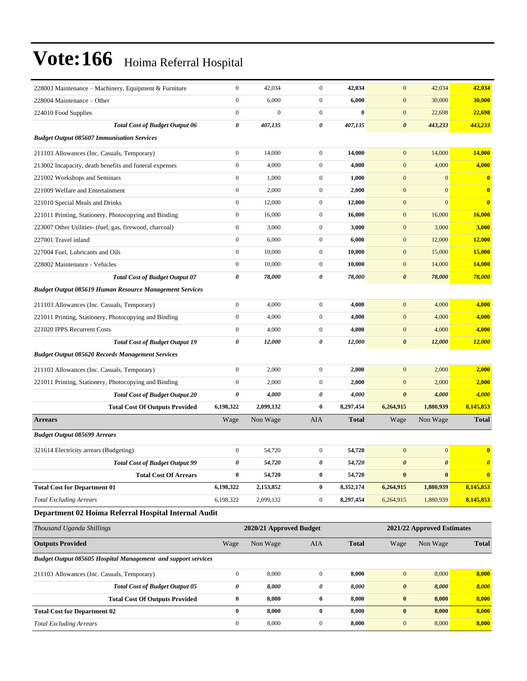| 228003 Maintenance – Machinery, Equipment & Furniture          | $\boldsymbol{0}$      | 42,034                  | $\mathbf{0}$     | 42,034       | $\mathbf{0}$          | 42,034                     | 42,034                |
|----------------------------------------------------------------|-----------------------|-------------------------|------------------|--------------|-----------------------|----------------------------|-----------------------|
| 228004 Maintenance – Other                                     | $\boldsymbol{0}$      | 6,000                   | $\mathbf{0}$     | 6,000        | $\mathbf{0}$          | 30,000                     | 30,000                |
| 224010 Food Supplies                                           | $\boldsymbol{0}$      | $\boldsymbol{0}$        | $\mathbf{0}$     | $\bf{0}$     | $\mathbf{0}$          | 22,698                     | 22,698                |
| <b>Total Cost of Budget Output 06</b>                          | $\boldsymbol{\theta}$ | 407,135                 | 0                | 407,135      | $\boldsymbol{\theta}$ | 443,233                    | 443,233               |
| <b>Budget Output 085607 Immunisation Services</b>              |                       |                         |                  |              |                       |                            |                       |
| 211103 Allowances (Inc. Casuals, Temporary)                    | $\boldsymbol{0}$      | 14,000                  | $\mathbf{0}$     | 14,000       | $\mathbf{0}$          | 14,000                     | 14,000                |
| 213002 Incapacity, death benefits and funeral expenses         | $\boldsymbol{0}$      | 4,000                   | $\mathbf{0}$     | 4,000        | $\mathbf{0}$          | 4,000                      | 4,000                 |
| 221002 Workshops and Seminars                                  | $\boldsymbol{0}$      | 1,000                   | $\overline{0}$   | 1,000        | $\boldsymbol{0}$      | $\mathbf{0}$               | $\bf{0}$              |
| 221009 Welfare and Entertainment                               | $\boldsymbol{0}$      | 2,000                   | $\mathbf{0}$     | 2,000        | $\mathbf{0}$          | $\mathbf{0}$               | $\mathbf{0}$          |
| 221010 Special Meals and Drinks                                | $\boldsymbol{0}$      | 12,000                  | $\mathbf{0}$     | 12,000       | $\mathbf{0}$          | $\mathbf{0}$               | $\mathbf{0}$          |
| 221011 Printing, Stationery, Photocopying and Binding          | $\boldsymbol{0}$      | 16,000                  | $\mathbf{0}$     | 16,000       | $\mathbf{0}$          | 16,000                     | 16,000                |
| 223007 Other Utilities- (fuel, gas, firewood, charcoal)        | $\boldsymbol{0}$      | 3,000                   | $\mathbf{0}$     | 3,000        | $\mathbf{0}$          | 3,000                      | 3,000                 |
| 227001 Travel inland                                           | $\boldsymbol{0}$      | 6,000                   | $\overline{0}$   | 6,000        | $\mathbf{0}$          | 12,000                     | <b>12,000</b>         |
| 227004 Fuel. Lubricants and Oils                               | $\boldsymbol{0}$      | 10,000                  | $\mathbf{0}$     | 10,000       | $\mathbf{0}$          | 15,000                     | 15,000                |
| 228002 Maintenance - Vehicles                                  | $\boldsymbol{0}$      | 10,000                  | $\mathbf{0}$     | 10,000       | $\mathbf{0}$          | 14,000                     | 14,000                |
| <b>Total Cost of Budget Output 07</b>                          | $\boldsymbol{\theta}$ | 78,000                  | 0                | 78,000       | $\boldsymbol{\theta}$ | 78,000                     | 78,000                |
| <b>Budget Output 085619 Human Resource Management Services</b> |                       |                         |                  |              |                       |                            |                       |
| 211103 Allowances (Inc. Casuals, Temporary)                    | $\boldsymbol{0}$      | 4,000                   | $\mathbf{0}$     | 4,000        | $\mathbf{0}$          | 4,000                      | 4,000                 |
| 221011 Printing, Stationery, Photocopying and Binding          | $\boldsymbol{0}$      | 4,000                   | $\overline{0}$   | 4,000        | $\mathbf{0}$          | 4,000                      | 4,000                 |
| 221020 IPPS Recurrent Costs                                    | $\boldsymbol{0}$      | 4,000                   | $\mathbf{0}$     | 4,000        | $\mathbf{0}$          | 4,000                      | 4,000                 |
| <b>Total Cost of Budget Output 19</b>                          | $\boldsymbol{\theta}$ | 12,000                  | 0                | 12,000       | $\boldsymbol{\theta}$ | 12,000                     | <b>12,000</b>         |
| <b>Budget Output 085620 Records Management Services</b>        |                       |                         |                  |              |                       |                            |                       |
| 211103 Allowances (Inc. Casuals, Temporary)                    | $\boldsymbol{0}$      | 2,000                   | $\overline{0}$   | 2,000        | $\mathbf{0}$          | 2,000                      | 2,000                 |
| 221011 Printing, Stationery, Photocopying and Binding          | $\boldsymbol{0}$      | 2,000                   | $\mathbf{0}$     | 2,000        | $\mathbf{0}$          | 2,000                      | 2,000                 |
| <b>Total Cost of Budget Output 20</b>                          | $\boldsymbol{\theta}$ | 4,000                   | 0                | 4,000        | $\boldsymbol{\theta}$ | 4,000                      | 4,000                 |
| <b>Total Cost Of Outputs Provided</b>                          | 6,198,322             | 2,099,132               | $\bf{0}$         | 8,297,454    | 6,264,915             | 1,880,939                  | 8,145,853             |
| <b>Arrears</b>                                                 | Wage                  | Non Wage                | <b>AIA</b>       | <b>Total</b> | Wage                  | Non Wage                   | <b>Total</b>          |
| <b>Budget Output 085699 Arrears</b>                            |                       |                         |                  |              |                       |                            |                       |
| 321614 Electricity arrears (Budgeting)                         | $\boldsymbol{0}$      | 54,720                  | $\boldsymbol{0}$ | 54,720       | $\mathbf{0}$          | $\mathbf{0}$               | $\bf{0}$              |
| <b>Total Cost of Budget Output 99</b>                          | 0                     |                         |                  |              |                       |                            |                       |
|                                                                |                       | 54,720                  | 0                | 54,720       | $\boldsymbol{\theta}$ | $\boldsymbol{\theta}$      | $\boldsymbol{\theta}$ |
| <b>Total Cost Of Arrears</b>                                   | $\bf{0}$              | 54,720                  | $\bf{0}$         | 54,720       | $\pmb{0}$             | $\boldsymbol{0}$           | $\bf{0}$              |
| <b>Total Cost for Department 01</b>                            | 6,198,322             | 2,153,852               | $\bf{0}$         | 8,352,174    | 6,264,915             | 1,880,939                  | 8,145,853             |
| <b>Total Excluding Arrears</b>                                 | 6,198,322             | 2,099,132               | $\boldsymbol{0}$ | 8,297,454    | 6,264,915             | 1,880,939                  | 8,145,853             |
| Department 02 Hoima Referral Hospital Internal Audit           |                       |                         |                  |              |                       |                            |                       |
| Thousand Uganda Shillings                                      |                       | 2020/21 Approved Budget |                  |              |                       | 2021/22 Approved Estimates |                       |
| <b>Outputs Provided</b>                                        | Wage                  | Non Wage                | AIA              | <b>Total</b> | Wage                  | Non Wage                   | <b>Total</b>          |
| Budget Output 085605 Hospital Management and support services  |                       |                         |                  |              |                       |                            |                       |
| 211103 Allowances (Inc. Casuals, Temporary)                    | $\boldsymbol{0}$      | 8,000                   | $\boldsymbol{0}$ | 8,000        | $\boldsymbol{0}$      | 8,000                      | 8,000                 |
| <b>Total Cost of Budget Output 05</b>                          | 0                     | 8,000                   | 0                | 8,000        | $\boldsymbol{\theta}$ | 8,000                      | 8,000                 |
| <b>Total Cost Of Outputs Provided</b>                          | $\bf{0}$              | 8,000                   | 0                | 8,000        | $\bf{0}$              | 8,000                      | 8,000                 |
| <b>Total Cost for Department 02</b>                            | $\bf{0}$              | 8,000                   | $\bf{0}$         | 8,000        | $\boldsymbol{0}$      | 8,000                      | 8,000                 |